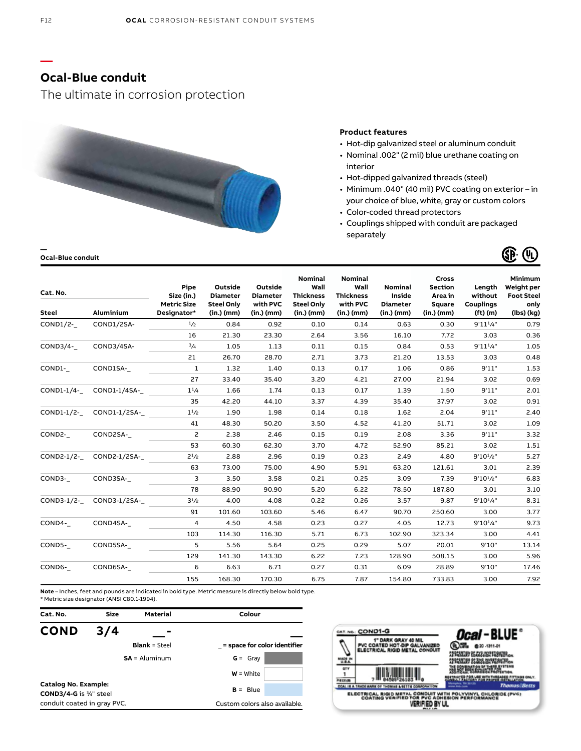## **Ocal-Blue conduit**

The ultimate in corrosion protection



#### **Product features**

- Hot-dip galvanized steel or aluminum conduit
- Nominal .002" (2 mil) blue urethane coating on interior
- Hot-dipped galvanized threads (steel)
- Minimum .040" (40 mil) PVC coating on exterior in your choice of blue, white, gray or custom colors
- Color-coded thread protectors
- Couplings shipped with conduit are packaged separately



| Cat. No.<br>Steel | <b>Aluminium</b>        | Pipe<br>Size (in.)<br><b>Metric Size</b><br>Designator* | Outside<br><b>Diameter</b><br><b>Steel Only</b><br>$(in.)$ (mm) | Outside<br><b>Diameter</b><br>with PVC<br>$(in.)$ (mm) | Nominal<br>Wall<br><b>Thickness</b><br><b>Steel Only</b><br>(in.) (mm) | <b>Nominal</b><br>Wall<br><b>Thickness</b><br>with PVC<br>(in.) (mm) | <b>Nominal</b><br>Inside<br><b>Diameter</b><br>$(in.)$ (mm) | Cross<br><b>Section</b><br>Area in<br>Square<br>$(in.)$ (mm) | Length<br>without<br><b>Couplings</b><br>(f <sub>t</sub> ) (m) | Minimum<br>Weight per<br><b>Foot Steel</b><br>only<br>(lbs) (kg) |
|-------------------|-------------------------|---------------------------------------------------------|-----------------------------------------------------------------|--------------------------------------------------------|------------------------------------------------------------------------|----------------------------------------------------------------------|-------------------------------------------------------------|--------------------------------------------------------------|----------------------------------------------------------------|------------------------------------------------------------------|
| COND1/2-          | COND1/2SA-              | 1/2                                                     | 0.84                                                            | 0.92                                                   | 0.10                                                                   | 0.14                                                                 | 0.63                                                        | 0.30                                                         | $9'11^{1/4"$                                                   | 0.79                                                             |
|                   |                         | 16                                                      | 21.30                                                           | 23.30                                                  | 2.64                                                                   | 3.56                                                                 | 16.10                                                       | 7.72                                                         | 3.03                                                           | 0.36                                                             |
| COND3/4-          | COND3/4SA-              | 3/4                                                     | 1.05                                                            | 1.13                                                   | 0.11                                                                   | 0.15                                                                 | 0.84                                                        | 0.53                                                         | $9'11^{1/4"$                                                   | 1.05                                                             |
|                   |                         | 21                                                      | 26.70                                                           | 28.70                                                  | 2.71                                                                   | 3.73                                                                 | 21.20                                                       | 13.53                                                        | 3.03                                                           | 0.48                                                             |
| COND1-            | COND1SA-                | 1                                                       | 1.32                                                            | 1.40                                                   | 0.13                                                                   | 0.17                                                                 | 1.06                                                        | 0.86                                                         | 9'11"                                                          | 1.53                                                             |
|                   |                         | 27                                                      | 33.40                                                           | 35.40                                                  | 3.20                                                                   | 4.21                                                                 | 27.00                                                       | 21.94                                                        | 3.02                                                           | 0.69                                                             |
|                   | COND1-1/4- COND1-1/4SA- | $1^{1/4}$                                               | 1.66                                                            | 1.74                                                   | 0.13                                                                   | 0.17                                                                 | 1.39                                                        | 1.50                                                         | 9'11"                                                          | 2.01                                                             |
|                   |                         | 35                                                      | 42.20                                                           | 44.10                                                  | 3.37                                                                   | 4.39                                                                 | 35.40                                                       | 37.97                                                        | 3.02                                                           | 0.91                                                             |
|                   | COND1-1/2- COND1-1/2SA- | $1^{1/2}$                                               | 1.90                                                            | 1.98                                                   | 0.14                                                                   | 0.18                                                                 | 1.62                                                        | 2.04                                                         | 9'11"                                                          | 2.40                                                             |
|                   |                         | 41                                                      | 48.30                                                           | 50.20                                                  | 3.50                                                                   | 4.52                                                                 | 41.20                                                       | 51.71                                                        | 3.02                                                           | 1.09                                                             |
| COND2-            | COND2SA-                | 2                                                       | 2.38                                                            | 2.46                                                   | 0.15                                                                   | 0.19                                                                 | 2.08                                                        | 3.36                                                         | 9'11"                                                          | 3.32                                                             |
|                   |                         | 53                                                      | 60.30                                                           | 62.30                                                  | 3.70                                                                   | 4.72                                                                 | 52.90                                                       | 85.21                                                        | 3.02                                                           | 1.51                                                             |
|                   | COND2-1/2- COND2-1/2SA- | $2^{1/2}$                                               | 2.88                                                            | 2.96                                                   | 0.19                                                                   | 0.23                                                                 | 2.49                                                        | 4.80                                                         | $9'10^{1}/2"$                                                  | 5.27                                                             |
|                   |                         | 63                                                      | 73.00                                                           | 75.00                                                  | 4.90                                                                   | 5.91                                                                 | 63.20                                                       | 121.61                                                       | 3.01                                                           | 2.39                                                             |
| COND3-            | COND3SA-                | 3                                                       | 3.50                                                            | 3.58                                                   | 0.21                                                                   | 0.25                                                                 | 3.09                                                        | 7.39                                                         | $9'10^{1}/2"$                                                  | 6.83                                                             |
|                   |                         | 78                                                      | 88.90                                                           | 90.90                                                  | 5.20                                                                   | 6.22                                                                 | 78.50                                                       | 187.80                                                       | 3.01                                                           | 3.10                                                             |
|                   | COND3-1/2- COND3-1/2SA- | $3^{1/2}$                                               | 4.00                                                            | 4.08                                                   | 0.22                                                                   | 0.26                                                                 | 3.57                                                        | 9.87                                                         | $9'10^{1/4"$                                                   | 8.31                                                             |
|                   |                         | 91                                                      | 101.60                                                          | 103.60                                                 | 5.46                                                                   | 6.47                                                                 | 90.70                                                       | 250.60                                                       | 3.00                                                           | 3.77                                                             |
| COND4-            | COND4SA-                | $\overline{4}$                                          | 4.50                                                            | 4.58                                                   | 0.23                                                                   | 0.27                                                                 | 4.05                                                        | 12.73                                                        | $9'10^{1/4"$                                                   | 9.73                                                             |
|                   |                         | 103                                                     | 114.30                                                          | 116.30                                                 | 5.71                                                                   | 6.73                                                                 | 102.90                                                      | 323.34                                                       | 3.00                                                           | 4.41                                                             |
| COND5-            | COND5SA-                | 5                                                       | 5.56                                                            | 5.64                                                   | 0.25                                                                   | 0.29                                                                 | 5.07                                                        | 20.01                                                        | 9'10"                                                          | 13.14                                                            |
|                   |                         | 129                                                     | 141.30                                                          | 143.30                                                 | 6.22                                                                   | 7.23                                                                 | 128.90                                                      | 508.15                                                       | 3.00                                                           | 5.96                                                             |
| COND6-            | COND6SA-                | 6                                                       | 6.63                                                            | 6.71                                                   | 0.27                                                                   | 0.31                                                                 | 6.09                                                        | 28.89                                                        | 9'10"                                                          | 17.46                                                            |
|                   |                         | 155                                                     | 168.30                                                          | 170.30                                                 | 6.75                                                                   | 7.87                                                                 | 154.80                                                      | 733.83                                                       | 3.00                                                           | 7.92                                                             |

**Note** – Inches, feet and pounds are indicated in bold type. Metric measure is directly below bold type. \* Metric size designator (ANSI C80.1-1994).





**—**

**—**

**Ocal-Blue conduit**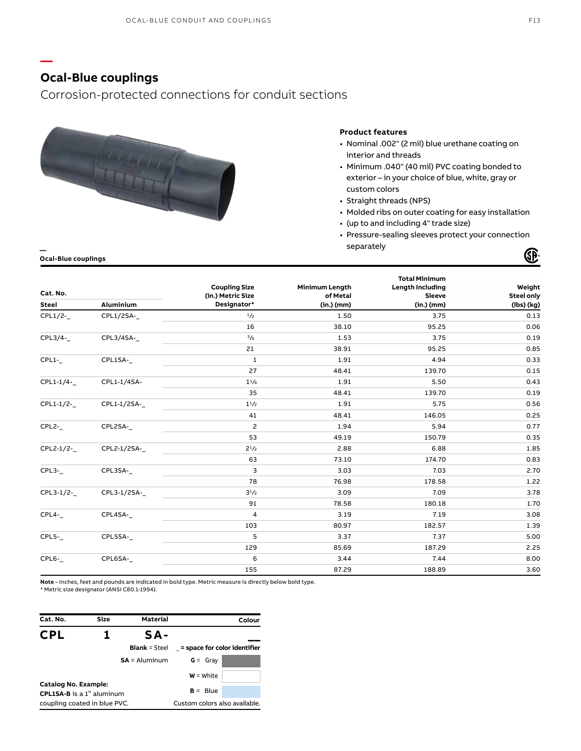## **Ocal-Blue couplings**

**—**

Corrosion-protected connections for conduit sections



#### **Product features**

- Nominal .002" (2 mil) blue urethane coating on interior and threads
- Minimum .040" (40 mil) PVC coating bonded to exterior – in your choice of blue, white, gray or custom colors
- Straight threads (NPS)
- Molded ribs on outer coating for easy installation
- (up to and including 4" trade size)
- Pressure-sealing sleeves protect your connection separately **—**  Œ

**Ocal-Blue couplings**

|              |              |                         |                       | <b>Total Minimum</b>    |                   |
|--------------|--------------|-------------------------|-----------------------|-------------------------|-------------------|
| Cat. No.     |              | <b>Coupling Size</b>    | <b>Minimum Length</b> | <b>Length Including</b> | Weight            |
|              | Aluminium    | (in.) Metric Size       | of Metal              | Sleeve                  | <b>Steel only</b> |
| <b>Steel</b> |              | Designator*             | $(in.)$ (mm)          | $(in.)$ (mm)            | (lbs) (kg)        |
| CPL1/2-      | CPL1/2SA-    | 1/2                     | 1.50                  | 3.75                    | 0.13              |
|              |              | 16                      | 38.10                 | 95.25                   | 0.06              |
| CPL3/4-      | CPL3/4SA-    | 3/4                     | 1.53                  | 3.75                    | 0.19              |
|              |              | 21                      | 38.91                 | 95.25                   | 0.85              |
| $CPL1-$      | CPL1SA-      | $\mathbf 1$             | 1.91                  | 4.94                    | 0.33              |
|              |              | 27                      | 48.41                 | 139.70                  | 0.15              |
| CPL1-1/4-    | CPL1-1/4SA-  | $1^{1/4}$               | 1.91                  | 5.50                    | 0.43              |
|              |              | 35                      | 48.41                 | 139.70                  | 0.19              |
| CPL1-1/2-    | CPL1-1/2SA-_ | $1^{1/2}$               | 1.91                  | 5.75                    | 0.56              |
|              |              | 41                      | 48.41                 | 146.05                  | 0.25              |
| CPL2-        | CPL2SA-      | $\mathsf{S}$            | 1.94                  | 5.94                    | 0.77              |
|              |              | 53                      | 49.19                 | 150.79                  | 0.35              |
| CPL2-1/2-    | CPL2-1/2SA-  | $2^{1/2}$               | 2.88                  | 6.88                    | 1.85              |
|              |              | 63                      | 73.10                 | 174.70                  | 0.83              |
| $CPL3-$      | CPL3SA-      | 3                       | 3.03                  | 7.03                    | 2.70              |
|              |              | 78                      | 76.98                 | 178.58                  | 1.22              |
| CPL3-1/2-    | CPL3-1/2SA-  | $3^{1/2}$               | 3.09                  | 7.09                    | 3.78              |
|              |              | 91                      | 78.58                 | 180.18                  | 1.70              |
| CPL4-        | CPL4SA-      | $\overline{\mathbf{4}}$ | 3.19                  | 7.19                    | 3.08              |
|              |              | 103                     | 80.97                 | 182.57                  | 1.39              |
| $CPL5-$      | CPL5SA-      | 5                       | 3.37                  | 7.37                    | 5.00              |
|              |              | 129                     | 85.69                 | 187.29                  | 2.25              |
| $CPL6-$      | CPL6SA-      | 6                       | 3.44                  | 7.44                    | 8.00              |
|              |              | 155                     | 87.29                 | 188.89                  | 3.60              |

**Note** – Inches, feet and pounds are indicated in bold type. Metric measure is directly below bold type.

\* Metric size designator (ANSI C80.1-1994).

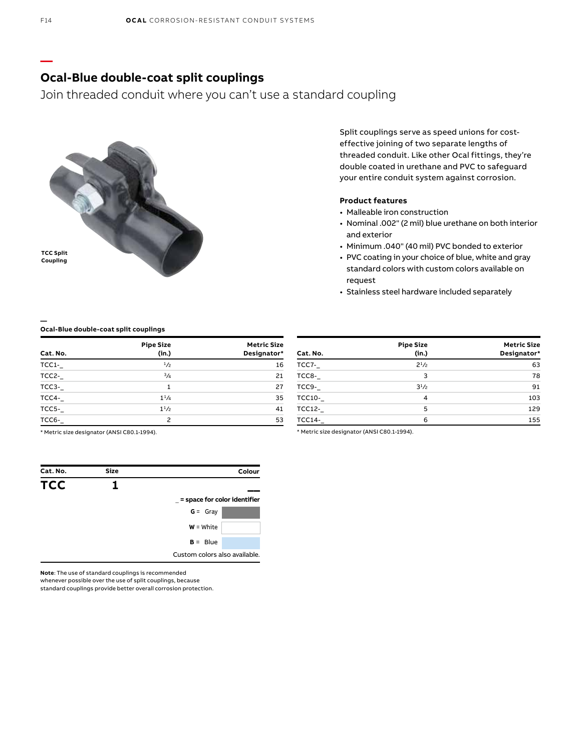## **Ocal-Blue double-coat split couplings**

Join threaded conduit where you can't use a standard coupling



Split couplings serve as speed unions for costeffective joining of two separate lengths of threaded conduit. Like other Ocal fittings, they're double coated in urethane and PVC to safeguard your entire conduit system against corrosion.

#### **Product features**

- Malleable iron construction
- Nominal .002" (2 mil) blue urethane on both interior and exterior
- Minimum .040" (40 mil) PVC bonded to exterior
- PVC coating in your choice of blue, white and gray standard colors with custom colors available on request
- Stainless steel hardware included separately

#### **Ocal-Blue double-coat split couplings**

| Cat. No. | <b>Pipe Size</b><br>(in.) | <b>Metric Size</b><br>Designator* |
|----------|---------------------------|-----------------------------------|
| TCC1-    | 1/2                       | 16                                |
| TCC2-    | 3/4                       | 21                                |
| TCC3-    | 1                         | 27                                |
| TCC4-    | $1^{1}/_{4}$              | 35                                |
| $TCC5 -$ | $1^{1/2}$                 | 41                                |
| $TCC6-$  | $\mathcal{P}$             | 53                                |

| Cat. No.      | <b>Pipe Size</b><br>(in.) | <b>Metric Size</b><br>Designator* |
|---------------|---------------------------|-----------------------------------|
| TCC7-         | $2^{1/2}$                 | 63                                |
| TCC8-         | 3                         | 78                                |
| TCC9-         | $3^{1}/2$                 | 91                                |
| <b>TCC10-</b> | 4                         | 103                               |
| <b>TCC12-</b> | 5                         | 129                               |
| <b>TCC14-</b> | 6                         | 155                               |

\* Metric size designator (ANSI C80.1-1994).

| Cat. No.   | <b>Size</b> | Colour                        |
|------------|-------------|-------------------------------|
| <b>TCC</b> |             |                               |
|            |             | = space for color identifier  |
|            |             | $G = Gray$                    |
|            |             | $W = White$                   |
|            |             | $B = Blue$                    |
|            |             | Custom colors also available. |

\* Metric size designator (ANSI C80.1-1994).

**Note**: The use of standard couplings is recommended

whenever possible over the use of split couplings, because

standard couplings provide better overall corrosion protection.

**—**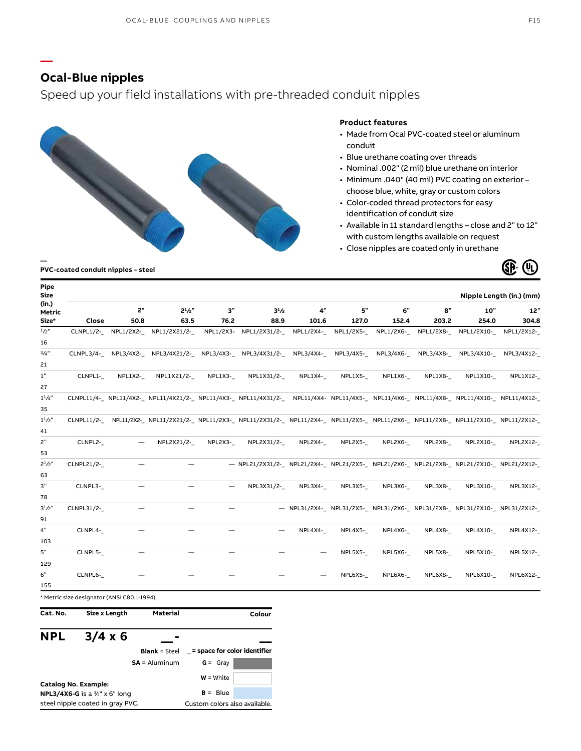## **Ocal-Blue nipples**

**—**

### Speed up your field installations with pre-threaded conduit nipples



#### **Product features**

- Made from Ocal PVC-coated steel or aluminum conduit
- Blue urethane coating over threads
- Nominal .002" (2 mil) blue urethane on interior
- Minimum .040" (40 mil) PVC coating on exterior choose blue, white, gray or custom colors
- Color-coded thread protectors for easy identification of conduit size
- Available in 11 standard lengths close and 2" to 12" with custom lengths available on request
- Close nipples are coated only in urethane



#### **PVC-coated conduit nipples – steel**

| Pipe<br><b>Size</b> |            |         |                                  |           |                                                                                                                                              |         |            |           |         |                                                                             | Nipple Length (in.) (mm) |
|---------------------|------------|---------|----------------------------------|-----------|----------------------------------------------------------------------------------------------------------------------------------------------|---------|------------|-----------|---------|-----------------------------------------------------------------------------|--------------------------|
| (in.)<br>Metric     |            | 2"      | $2^{1}/2$ "                      | 3"        | $3^{1/2}$                                                                                                                                    | 4"      | 5"         | 6"        | 8"      | 10"                                                                         | 12"                      |
| Size*               | Close      | 50.8    | 63.5                             | 76.2      | 88.9                                                                                                                                         | 101.6   | 127.0      | 152.4     | 203.2   | 254.0                                                                       | 304.8                    |
| $1/2$ "             |            |         | CLNPL1/2- NPL1/2X2- NPL1/2X21/2- |           | NPL1/2X3- NPL1/2X31/2- NPL1/2X4-                                                                                                             |         | NPL1/2X5-_ | NPL1/2X6- |         | NPL1/2X8- NPL1/2X10- NPL1/2X12-                                             |                          |
| 16                  |            |         |                                  |           |                                                                                                                                              |         |            |           |         |                                                                             |                          |
| 3/4"<br>21          |            |         |                                  |           | CLNPL3/4- NPL3/4X2- NPL3/4X21/2- NPL3/4X3- NPL3/4X31/2- NPL3/4X4- NPL3/4X5- NPL3/4X6- NPL3/4X8- NPL3/4X10- NPL3/4X12-                        |         |            |           |         |                                                                             |                          |
| $1\mathrm{''}$      | CLNPL1-    | NPL1X2- | NPL1X21/2-                       | $NPL1X3-$ | NPL1X31/2-                                                                                                                                   | NPL1X4- | $NPL1X5-$  | NPL1X6-   | NPL1X8- | NPL1X10-                                                                    | NPL1X12-                 |
| 27                  |            |         |                                  |           |                                                                                                                                              |         |            |           |         |                                                                             |                          |
| $1^{1}/4"$          |            |         |                                  |           | CLNPL11/4x2- NPL11/4X2- NPL11/4X21/2- NPL11/4X3- NPL11/4X31/2- NPL11/4X4- NPL11/4X5- NPL11/4X6- NPL11/4X8- NPL11/4X10- NPL11/4X12-           |         |            |           |         |                                                                             |                          |
| 35                  |            |         |                                  |           |                                                                                                                                              |         |            |           |         |                                                                             |                          |
| $1^{1}/2$ "         |            |         |                                  |           | CLNPL11/2-__ NPL11/2X2-_ NPL11/2X21/2-_ NPL11/2X3-_ NPL11/2X31/2-_ NPL11/2X4-_ NPL11/2X5-_ NPL11/2X6-_ NPL11/2X8-_ NPL11/2X10-_ NPL11/2X12-_ |         |            |           |         |                                                                             |                          |
| 41                  |            |         |                                  |           |                                                                                                                                              |         |            |           |         |                                                                             |                          |
| 2"                  | CLNPL2-    |         | NPL2X21/2-                       | NPL2X3-   | NPL2X31/2-                                                                                                                                   | NPL2X4- | NPL2X5-    | NPL2X6-   | NPL2X8- | NPL2X10-                                                                    | NPL2X12-                 |
| 53                  |            |         |                                  |           |                                                                                                                                              |         |            |           |         |                                                                             |                          |
| $2^{1}/2"$          | CLNPL21/2- |         |                                  |           | - NPL21/2X31/2- NPL21/2X4- NPL21/2X5- NPL21/2X6- NPL21/2X8- NPL21/2X10- NPL21/2X12-                                                          |         |            |           |         |                                                                             |                          |
| 63                  |            |         |                                  |           |                                                                                                                                              |         |            |           |         |                                                                             |                          |
| 3"<br>78            | CLNPL3-    |         |                                  |           | NPL3X31/2-                                                                                                                                   | NPL3X4- | NPL3X5-    | NPL3X6-   | NPL3X8- | NPL3X10-                                                                    | NPL3X12-                 |
| $3^{1}/2"$          | CLNPL31/2- |         |                                  |           |                                                                                                                                              |         |            |           |         | - NPL31/2X4-_ NPL31/2X5-_ NPL31/2X6-_ NPL31/2X8-_ NPL31/2X10-_ NPL31/2X12-_ |                          |
| 91                  |            |         |                                  |           |                                                                                                                                              |         |            |           |         |                                                                             |                          |
| 4"                  | CLNPL4-    |         |                                  |           |                                                                                                                                              | NPL4X4- | NPL4X5-    | NPL4X6-   | NPL4X8- | NPL4X10-                                                                    | NPL4X12-                 |
| 103                 |            |         |                                  |           |                                                                                                                                              |         |            |           |         |                                                                             |                          |
| 5"                  | CLNPL5-    |         |                                  |           |                                                                                                                                              |         | NPL5X5-    | NPL5X6-   | NPL5X8- | <b>NPL5X10-</b>                                                             | NPL5X12-                 |
| 129                 |            |         |                                  |           |                                                                                                                                              |         |            |           |         |                                                                             |                          |
| 6"                  | CLNPL6-    |         |                                  |           |                                                                                                                                              |         | NPL6X5-    | NPL6X6-   | NPL6X8- | NPL6X10-                                                                    | NPL6X12-                 |
| 155                 |            |         |                                  |           |                                                                                                                                              |         |            |           |         |                                                                             |                          |

**Cat. No. Size x Length Material**

**Colour**

#### **NPL 3/4 x 6 \_\_ - \_\_ Blank** = Steel \_ **= space for color identifier SA** = Aluminum **G** = Gray **Catalog No. Example: NPL3/4X6-G** is a <sup>3</sup>⁄4" x 6" long steel nipple coated in gray PVC. **W** = White  $B = Blue$ Custom colors also available.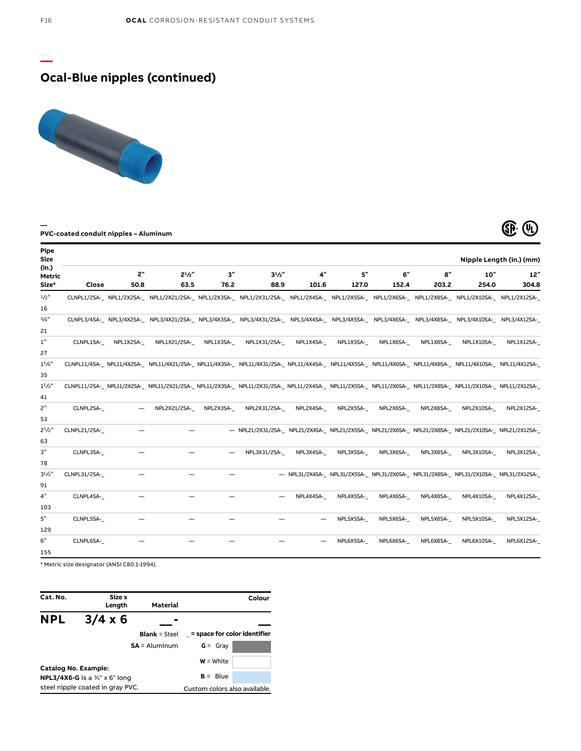# **Ocal-Blue nipples (continued)**



### **PVC-coated conduit nipples – Aluminum**



| Pipe<br>Size    |                     |           |                                                                                                                                                                                                                                |           |                                                                                                         |           |           |           |                           |                                                                                         | Nipple Length (in.) (mm) |
|-----------------|---------------------|-----------|--------------------------------------------------------------------------------------------------------------------------------------------------------------------------------------------------------------------------------|-----------|---------------------------------------------------------------------------------------------------------|-----------|-----------|-----------|---------------------------|-----------------------------------------------------------------------------------------|--------------------------|
| (in.)<br>Metric |                     | 2"        | $2^{1}/2$ "                                                                                                                                                                                                                    | 3"        | $3^{1}/2"$                                                                                              | 4"        | 5"        | 6"        | $\mathbf{a}^{\mathbf{u}}$ | 10"                                                                                     | 12"                      |
| Size*           | Close               | 50.8      | 63.5                                                                                                                                                                                                                           | 76.2      | 88.9                                                                                                    | 101.6     | 127.0     | 152.4     | 203.2                     | 254.0                                                                                   | 304.8                    |
| $1/2$ "         |                     |           | CLNPL1/2SA-_NPL1/2X2SA-_NPL1/2X21/2SA-_NPL1/2X3SA-_NPL1/2X31/2SA-_NPL1/2X4SA-_NPL1/2X5SA-_NPL1/2X6SA-_NPL1/2X8SA-_NPL1/2X8SA-_NPL1/2X10SA-_NPL1/2X12SA-                                                                        |           |                                                                                                         |           |           |           |                           |                                                                                         |                          |
| 16              |                     |           |                                                                                                                                                                                                                                |           |                                                                                                         |           |           |           |                           |                                                                                         |                          |
| 3/4"            |                     |           | CLNPL3/4SA-_NPL3/4X2SA-_NPL3/4X21/2SA-_NPL3/4X3SA-_NPL3/4X31/2SA-_NPL3/4X4SA-_NPL3/4X5SA-_NPL3/4X6SA-_NPL3/4X8SA-_NPL3/4X8SA-_NPL3/4X10SA-_NPL3/4X12SA-                                                                        |           |                                                                                                         |           |           |           |                           |                                                                                         |                          |
| 21              |                     |           |                                                                                                                                                                                                                                |           |                                                                                                         |           |           |           |                           |                                                                                         |                          |
| 1"              | CLNPL1SA-           | NPL1X2SA- | NPL1X21/2SA-                                                                                                                                                                                                                   | NPL1X3SA- | NPL1X31/2SA-                                                                                            | NPL1X4SA- | NPL1X5SA- | NPL1X6SA- | NPL1X8SA-                 | NPL1X10SA-                                                                              | NPL1X12SA-               |
| 27              |                     |           |                                                                                                                                                                                                                                |           |                                                                                                         |           |           |           |                           |                                                                                         |                          |
| $1^{1}/4$ "     |                     |           | CLNPL11/4SA-_ NPL11/4X2SA-_ NPL11/4X21/2SA-_ NPL11/4X3SA-_ NPL11/4X31/2SA-_ NPL11/4X4SA-_ NPL11/4X5SA-_ NPL11/4X6SA-_ NPL11/4X8SA-_ NPL11/4X40SA-_ NPL11/4X10SA-_ NPL11/4X12SA-                                                |           |                                                                                                         |           |           |           |                           |                                                                                         |                          |
| 35              |                     |           |                                                                                                                                                                                                                                |           |                                                                                                         |           |           |           |                           |                                                                                         |                          |
| $1^{1}/2$ "     |                     |           | CLNPL11/2SA-_NPL11/2X2SA-_NPL11/2X21/2SA-_NPL11/2X3SA-_NPL11/2X31/2SA-_NPL11/2X4SA-_NPL11/2X5SA-_NPL11/2X6SA-_NPL11/2X40SA-_NPL11/2X12SA-_NPL11/2X12SA-_NPL11/2X12SA-_NPL11/2X12SA-_NPL11/2X12SA-_NPL11/2X12SA-_NPL11/2X12SA-_ |           |                                                                                                         |           |           |           |                           |                                                                                         |                          |
| 41              |                     |           |                                                                                                                                                                                                                                |           |                                                                                                         |           |           |           |                           |                                                                                         |                          |
| 2"              | CLNPL2SA-           |           | NPL2X21/2SA-                                                                                                                                                                                                                   | NPL2X3SA- | NPL2X31/2SA-                                                                                            | NPL2X4SA- | NPL2X5SA- | NPL2X6SA- | NPL2X8SA-                 | NPL2X10SA-                                                                              | NPL2X12SA-               |
| 53              |                     |           |                                                                                                                                                                                                                                |           |                                                                                                         |           |           |           |                           |                                                                                         |                          |
| $2^{1}/2$ "     | CLNPL21/2SA-        |           |                                                                                                                                                                                                                                |           | - NPL21/2X31/2SA-_ NPL21/2X4SA-_ NPL21/2X5SA-_ NPL21/2X6SA-_ NPL21/2X8SA-_ NPL21/2X10SA-_ NPL21/2X12SA- |           |           |           |                           |                                                                                         |                          |
| 63              |                     |           |                                                                                                                                                                                                                                |           |                                                                                                         |           |           |           |                           |                                                                                         |                          |
| 3"              | CLNPL3SA-           |           |                                                                                                                                                                                                                                |           | NPL3X31/2SA-                                                                                            | NPL3X4SA- | NPL3X5SA- | NPL3X6SA- | NPL3X8SA-                 | NPL3X10SA-                                                                              | NPL3X12SA-               |
| 78              |                     |           |                                                                                                                                                                                                                                |           |                                                                                                         |           |           |           |                           |                                                                                         |                          |
| $3^{1}/2$ "     | <b>CLNPL31/2SA-</b> |           |                                                                                                                                                                                                                                |           |                                                                                                         |           |           |           |                           | - NPL31/2X4SA-_ NPL31/2X5SA-_ NPL31/2X6SA-_ NPL31/2X8SA-_ NPL31/2X10SA-_ NPL31/2X12SA-_ |                          |
| 91              |                     |           |                                                                                                                                                                                                                                |           |                                                                                                         |           |           |           |                           |                                                                                         |                          |
| 4"              | CLNPL4SA-           |           |                                                                                                                                                                                                                                |           |                                                                                                         | NPL4X4SA- | NPL4X5SA- | NPL4X6SA- | NPL4X8SA-                 | NPL4X10SA-                                                                              | NPL4X12SA-               |
| 103             |                     |           |                                                                                                                                                                                                                                |           |                                                                                                         |           |           |           |                           |                                                                                         |                          |
| 5"              | CLNPL5SA-           |           |                                                                                                                                                                                                                                |           |                                                                                                         |           | NPL5X5SA- | NPL5X6SA- | NPL5X8SA-                 | NPL5X10SA-                                                                              | NPL5X12SA-               |
| 129             |                     |           |                                                                                                                                                                                                                                |           |                                                                                                         |           |           |           |                           |                                                                                         |                          |
| 6"              | CLNPL6SA-           |           |                                                                                                                                                                                                                                |           |                                                                                                         |           | NPL6X5SA- | NPL6X6SA- | NPL6X8SA-                 | NPL6X10SA-                                                                              | NPL6X12SA-               |
| 155             |                     |           |                                                                                                                                                                                                                                |           |                                                                                                         |           |           |           |                           |                                                                                         |                          |

\* Metric size designator (ANSI C80.1-1994).

| Cat. No.             | Size x<br>Length                                 | Material             |                               | Colour |
|----------------------|--------------------------------------------------|----------------------|-------------------------------|--------|
| <b>NPL</b>           | $3/4 \times 6$                                   |                      |                               |        |
|                      |                                                  | <b>Blank</b> = Steel | = space for color identifier  |        |
|                      |                                                  | $SA =$ Aluminum      | $G = Gray$                    |        |
| Catalog No. Example: |                                                  |                      | $W = White$                   |        |
|                      | <b>NPL3/4X6-G</b> is a $\frac{3}{4}$ " x 6" long |                      | $B = Blue$                    |        |
|                      | steel nipple coated in gray PVC.                 |                      | Custom colors also available. |        |

**—**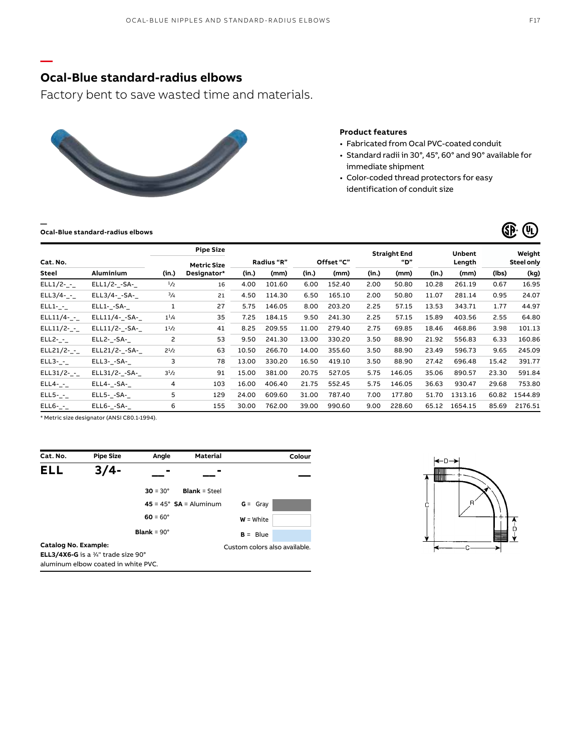## **Ocal-Blue standard-radius elbows**

Factory bent to save wasted time and materials.



### **Product features**

- Fabricated from Ocal PVC-coated conduit
- Standard radii in 30°, 45°, 60° and 90° available for immediate shipment
- Color-coded thread protectors for easy identification of conduit size

**Ocal-Blue standard-radius elbows**

**—**

**—**

|              |                  |              | <b>Pipe Size</b>   |       |                   |       |            |       | <b>Straight End</b> |        | <b>Unbent</b> |                   | Weight  |
|--------------|------------------|--------------|--------------------|-------|-------------------|-------|------------|-------|---------------------|--------|---------------|-------------------|---------|
| Cat. No.     |                  |              | <b>Metric Size</b> |       | <b>Radius "R"</b> |       | Offset "C" | "D"   |                     | Length |               | <b>Steel only</b> |         |
| Steel        | <b>Aluminium</b> | (in.)        | Designator*        | (in.) | (mm)              | (in.) | (mm)       | (in.) | (mm)                | (in.)  | (mm)          | (lbs)             | (kg)    |
| ELL1/2-_-_   | ELL1/2- -SA-     | 1/2          | 16                 | 4.00  | 101.60            | 6.00  | 152.40     | 2.00  | 50.80               | 10.28  | 261.19        | 0.67              | 16.95   |
| ELL3/4- $-$  | $ELL3/4--SA-$    | $^{3}/_{4}$  | 21                 | 4.50  | 114.30            | 6.50  | 165.10     | 2.00  | 50.80               | 11.07  | 281.14        | 0.95              | 24.07   |
| $ELL1--$     | $ELL1--SA--$     | $\mathbf{1}$ | 27                 | 5.75  | 146.05            | 8.00  | 203.20     | 2.25  | 57.15               | 13.53  | 343.71        | 1.77              | 44.97   |
| $ELL11/4-$   | ELL11/4- -SA-    | $1^{1/4}$    | 35                 | 7.25  | 184.15            | 9.50  | 241.30     | 2.25  | 57.15               | 15.89  | 403.56        | 2.55              | 64.80   |
| ELL11/2- $-$ | ELL11/2- -SA-    | $1^{1/2}$    | 41                 | 8.25  | 209.55            | 11.00 | 279.40     | 2.75  | 69.85               | 18.46  | 468.86        | 3.98              | 101.13  |
| $ELL2-$ -    | ELL2- -SA-       | 2            | 53                 | 9.50  | 241.30            | 13.00 | 330.20     | 3.50  | 88.90               | 21.92  | 556.83        | 6.33              | 160.86  |
| ELL21/2-_-_  | ELL21/2- -SA-    | $2^{1/2}$    | 63                 | 10.50 | 266.70            | 14.00 | 355.60     | 3.50  | 88.90               | 23.49  | 596.73        | 9.65              | 245.09  |
| $ELL3--$     | $ELL3--SA--$     | 3            | 78                 | 13.00 | 330.20            | 16.50 | 419.10     | 3.50  | 88.90               | 27.42  | 696.48        | 15.42             | 391.77  |
| $ELL31/2- -$ | ELL31/2- -SA-    | $3^{1}/2$    | 91                 | 15.00 | 381.00            | 20.75 | 527.05     | 5.75  | 146.05              | 35.06  | 890.57        | 23.30             | 591.84  |
| $ELL4-$ -    | ELL4- -SA-       | 4            | 103                | 16.00 | 406.40            | 21.75 | 552.45     | 5.75  | 146.05              | 36.63  | 930.47        | 29.68             | 753.80  |
| $ELL5- -$    | ELL5- -SA-       | 5            | 129                | 24.00 | 609.60            | 31.00 | 787.40     | 7.00  | 177.80              | 51.70  | 1313.16       | 60.82             | 1544.89 |
| $ELL6- -$    | ELL6- -SA-       | 6            | 155                | 30.00 | 762.00            | 39.00 | 990.60     | 9.00  | 228.60              | 65.12  | 1654.15       | 85.69             | 2176.51 |

\* Metric size designator (ANSI C80.1-1994).

| Cat. No.             | <b>Pipe Size</b>                                                                             | Angle                     | <b>Material</b>                 |                               | Colour |
|----------------------|----------------------------------------------------------------------------------------------|---------------------------|---------------------------------|-------------------------------|--------|
| <b>ELL</b>           | $3/4-$                                                                                       |                           |                                 |                               |        |
|                      |                                                                                              | $30 = 30^{\circ}$         | <b>Blank = Steel</b>            |                               |        |
|                      |                                                                                              |                           | $45 = 45^{\circ}$ SA = Aluminum | $G = Gray$                    |        |
|                      |                                                                                              | $60 = 60^{\circ}$         |                                 | $W = White$                   |        |
|                      |                                                                                              | <b>Blank</b> = $90^\circ$ |                                 | $B = Blue$                    |        |
| Catalog No. Example: |                                                                                              |                           |                                 | Custom colors also available. |        |
|                      | <b>ELL3/4X6-G</b> is a $\frac{3}{4}$ " trade size 90°<br>aluminum elbow coated in white PVC. |                           |                                 |                               |        |



(SP) (YL)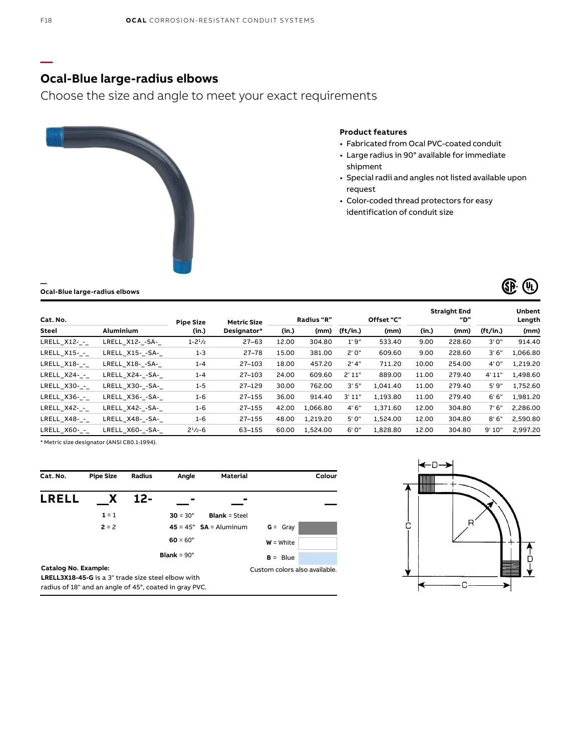### **Ocal-Blue large-radius elbows**

Choose the size and angle to meet your exact requirements



#### **Product features**

- Fabricated from Ocal PVC-coated conduit
- Large radius in 90° available for immediate shipment
- Special radii and angles not listed available upon request
- Color-coded thread protectors for easy identification of conduit size



| Cat. No.     |                  | <b>Pipe Size</b> | <b>Metric Size</b> | Radius "R" |          | Offset "C" |          | <b>Straight End</b><br>"D" |        |          | Unbent<br>Length |  |
|--------------|------------------|------------------|--------------------|------------|----------|------------|----------|----------------------------|--------|----------|------------------|--|
| Steel        | <b>Aluminium</b> | (in.)            | Designator*        | (in.)      | (mm)     | (ft/in.)   | (mm)     | (in.)                      | (mm)   | (ft/in.) | (mm)             |  |
| LRELL X12- - | LRELL X12- -SA-  | $1 - 21/2$       | $27 - 63$          | 12.00      | 304.80   | 1'9''      | 533.40   | 9.00                       | 228.60 | 3'0''    | 914.40           |  |
| LRELL X15- - | LRELL X15--SA-   | $1 - 3$          | 27-78              | 15.00      | 381.00   | 2'0''      | 609.60   | 9.00                       | 228.60 | 3'6''    | 1,066.80         |  |
| LRELL X18--  | LRELL X18- -SA-  | $1 - 4$          | 27-103             | 18.00      | 457.20   | 2'4"       | 711.20   | 10.00                      | 254.00 | 4'0"     | 1,219.20         |  |
| LRELL X24- - | LRELL X24- -SA-  | $1 - 4$          | 27-103             | 24.00      | 609.60   | 2'11"      | 889.00   | 11.00                      | 279.40 | 4' 11"   | 1,498.60         |  |
| LRELL X30- - | LRELL X30--SA-   | $1 - 5$          | $27 - 129$         | 30.00      | 762.00   | 3'5''      | 1.041.40 | 11.00                      | 279.40 | 5'9"     | 1,752.60         |  |
| LRELL X36- - | LRELL X36- -SA-  | $1 - 6$          | $27 - 155$         | 36.00      | 914.40   | 3'11"      | 1,193.80 | 11.00                      | 279.40 | 6'6''    | 1,981.20         |  |
| LRELL X42- - | LRELL X42- -SA-  | $1 - 6$          | $27 - 155$         | 42.00      | 1,066.80 | 4'6''      | 1,371.60 | 12.00                      | 304.80 | 7'6''    | 2,286.00         |  |
| LRELL X48- - | LRELL X48- -SA-  | $1 - 6$          | $27 - 155$         | 48.00      | 1,219.20 | 5'0"       | 1,524.00 | 12.00                      | 304.80 | 8'6''    | 2,590.80         |  |
| LRELL X60- - | LRELL X60--SA-   | $2^{1/2} - 6$    | 63-155             | 60.00      | 1.524.00 | 6'0''      | 1,828.80 | 12.00                      | 304.80 | 9'10"    | 2,997.20         |  |

\* Metric size designator (ANSI C80.1-1994).

**Ocal-Blue large-radius elbows**

| Cat. No.                                                  | <b>Pipe Size</b> | <b>Radius</b> | Angle                     | <b>Material</b>                 |                               | Colour |
|-----------------------------------------------------------|------------------|---------------|---------------------------|---------------------------------|-------------------------------|--------|
| <b>LRELL</b>                                              | X                | 12-           |                           |                                 |                               |        |
|                                                           | $1 = 1$          |               | $30 = 30^{\circ}$         | <b>Blank = Steel</b>            |                               |        |
|                                                           | $2 = 2$          |               |                           | $45 = 45^{\circ}$ SA = Aluminum | $G = Gray$                    |        |
|                                                           |                  |               | $60 = 60^{\circ}$         |                                 | $W = White$                   |        |
|                                                           |                  |               | <b>Blank</b> = $90^\circ$ |                                 | $B = Blue$                    |        |
| Catalog No. Example:                                      |                  |               |                           |                                 | Custom colors also available. |        |
| <b>LRELL3X18-45-G</b> is a 3" trade size steel elbow with |                  |               |                           |                                 |                               |        |
| radius of 18" and an angle of 45°, coated in gray PVC.    |                  |               |                           |                                 |                               |        |

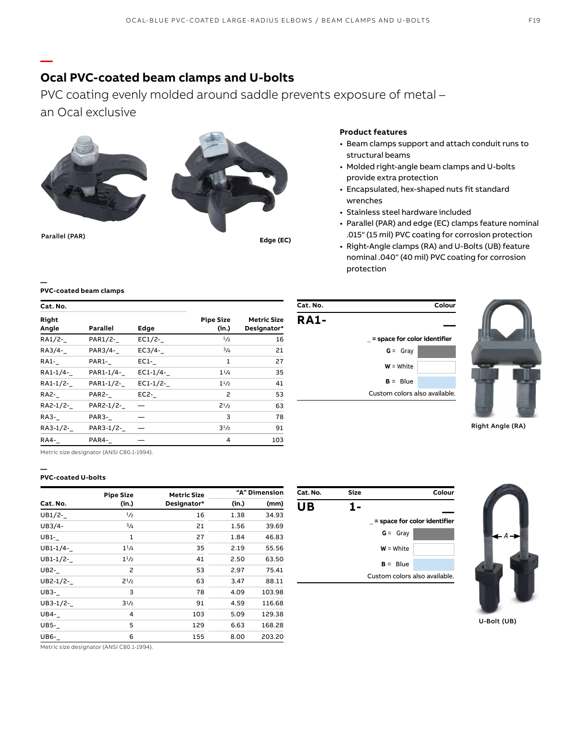## **Ocal PVC-coated beam clamps and U-bolts**

PVC coating evenly molded around saddle prevents exposure of metal – an Ocal exclusive



**—**

**—**



#### **Product features**

- Beam clamps support and attach conduit runs to structural beams
- Molded right-angle beam clamps and U-bolts provide extra protection
- Encapsulated, hex-shaped nuts fit standard wrenches
- Stainless steel hardware included
- Parallel (PAR) and edge (EC) clamps feature nominal .015" (15 mil) PVC coating for corrosion protection
- Right-Angle clamps (RA) and U-Bolts (UB) feature nominal .040" (40 mil) PVC coating for corrosion protection

#### **PVC-coated beam clamps**

| Cat. No.       |           |          |                           |                                   |
|----------------|-----------|----------|---------------------------|-----------------------------------|
| Right<br>Angle | Parallel  | Edge     | <b>Pipe Size</b><br>(in.) | <b>Metric Size</b><br>Designator* |
| RA1/2-         | PAR1/2-   | EC1/2-   | 1/2                       | 16                                |
| RA3/4-         | PAR3/4-   | EC3/4-   | 3/4                       | 21                                |
| RA1-           | PAR1-     | $EC1$ -  | 1                         | 27                                |
| RA1-1/4-       | PAR1-1/4- | EC1-1/4- | $1^{1/4}$                 | 35                                |
| RA1-1/2-       | PAR1-1/2- | EC1-1/2- | $1^{1/2}$                 | 41                                |
| <b>RA2-</b>    | PAR2-     | $EC2$ -  | $\overline{\phantom{0}}$  | 53                                |
| RA2-1/2-       | PAR2-1/2- |          | $2^{1/2}$                 | 63                                |
| RA3-           | PAR3-     |          | 3                         | 78                                |
| RA3-1/2-       | PAR3-1/2- |          | $3^{1}/2$                 | 91                                |
| RA4-           | PAR4-     |          | 4                         | 103                               |





Right Angle (RA)

Metric size designator (ANSI C80.1-1994).

#### **— PVC-coated U-bolts**

|             | <b>Pipe Size</b> | <b>Metric Size</b> |       | "A" Dimension |  |
|-------------|------------------|--------------------|-------|---------------|--|
| Cat. No.    | (in.)            | Designator*        | (in.) | (mm)          |  |
| UB1/2-      | 1/2              | 16                 | 1.38  | 34.93         |  |
| UB3/4-      | $^{3}/_{4}$      | 21                 | 1.56  | 39.69         |  |
| <b>UB1-</b> | 1                | 27                 | 1.84  | 46.83         |  |
| UB1-1/4-    | $1^{1/4}$        | 35                 | 2.19  | 55.56         |  |
| UB1-1/2-    | $1^{1/2}$        | 41                 | 2.50  | 63.50         |  |
| UB2-        | 2                | 53                 | 2.97  | 75.41         |  |
| UB2-1/2-    | $2^{1/2}$        | 63                 | 3.47  | 88.11         |  |
| <b>UB3-</b> | 3                | 78                 | 4.09  | 103.98        |  |
| UB3-1/2-    | $3^{1}/2$        | 91                 | 4.59  | 116.68        |  |
| <b>UB4-</b> | 4                | 103                | 5.09  | 129.38        |  |
| <b>UB5-</b> | 5                | 129                | 6.63  | 168.28        |  |
| UB6-        | 6                | 155                | 8.00  | 203.20        |  |

**Cat. No. Size Colour UB 1- \_\_** \_ **= space for color identifier G** = Gray **W** = White  $B = Blue$ Custom colors also available.



U-Bolt (UB)

Metric size designator (ANSI C80.1-1994).

F19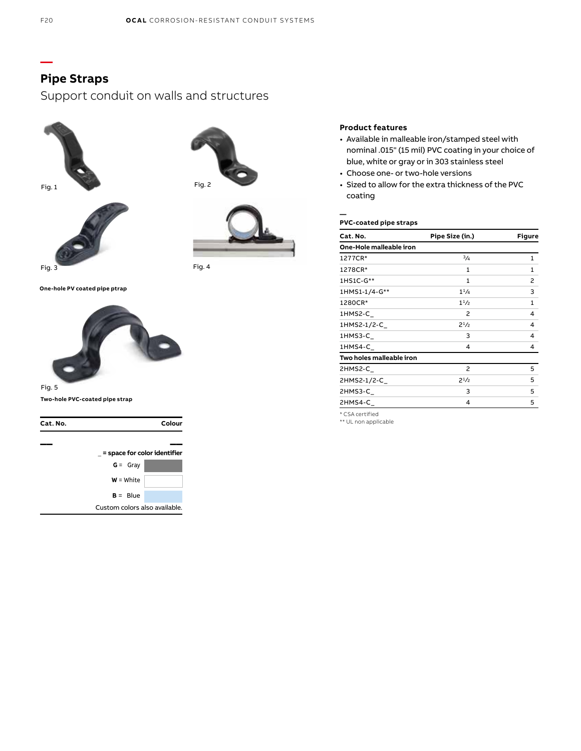# **Pipe Straps**

Support conduit on walls and structures









**One-hole PV coated pipe ptrap**



### Fig. 5

**Two-hole PVC-coated pipe strap**

| Cat. No. |                              | Colour                        |  |
|----------|------------------------------|-------------------------------|--|
|          |                              |                               |  |
|          | = space for color identifier |                               |  |
|          | $G = Gray$                   |                               |  |
|          | $W = White$                  |                               |  |
|          | $B = Blue$                   |                               |  |
|          |                              | Custom colors also available. |  |

### **Product features**

- Available in malleable iron/stamped steel with nominal .015" (15 mil) PVC coating in your choice of blue, white or gray or in 303 stainless steel
- Choose one- or two-hole versions
- Sized to allow for the extra thickness of the PVC coating

#### **— PVC-coated pipe straps**

| Cat. No.                 | Pipe Size (in.) | Figure |  |
|--------------------------|-----------------|--------|--|
| One-Hole malleable iron  |                 |        |  |
| 1277CR*                  | 3/4             | 1      |  |
| 1278CR*                  | $\mathbf{1}$    | 1      |  |
| 1HS1C-G**                | $\mathbf{1}$    | 2      |  |
| 1HMS1-1/4-G**            | $1^{1/4}$       | 3      |  |
| 1280CR*                  | $1^{1/2}$       | 1      |  |
| 1HMS2-C                  | $\overline{c}$  | 4      |  |
| 1HMS2-1/2-C_             | $2^{1/2}$       | 4      |  |
| 1HMS3-C                  | 3               | 4      |  |
| 1HMS4-C                  | 4               | 4      |  |
| Two holes malleable iron |                 |        |  |
| 2HMS2-C                  | 2               | 5      |  |
| 2HMS2-1/2-C_             | $2^{1/2}$       | 5      |  |
| 2HMS3-C                  | 3               | 5      |  |
| 2HMS4-C                  | 4               | 5      |  |

\* CSA certified \*\* UL non applicable